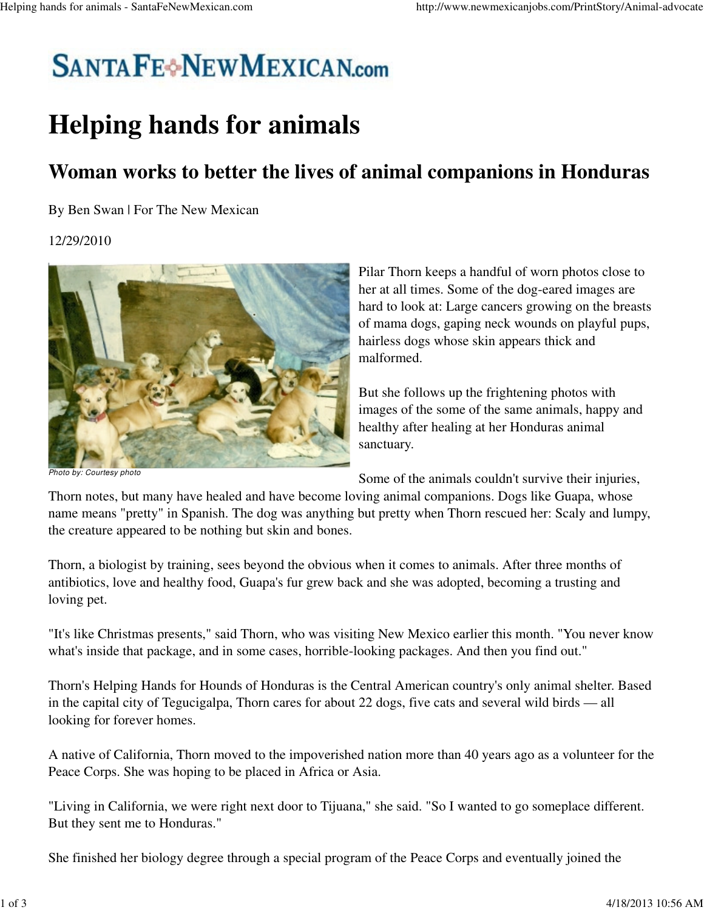## **SANTAFE**<sup>+</sup>NEWMEXICAN.com

## **Helping hands for animals**

## **Woman works to better the lives of animal companions in Honduras**

By Ben Swan | For The New Mexican

## 12/29/2010



Pilar Thorn keeps a handful of worn photos close to her at all times. Some of the dog-eared images are hard to look at: Large cancers growing on the breasts of mama dogs, gaping neck wounds on playful pups, hairless dogs whose skin appears thick and malformed.

But she follows up the frightening photos with images of the some of the same animals, happy and healthy after healing at her Honduras animal sanctuary.

Photo by: Courtesy photo

Some of the animals couldn't survive their injuries,

Thorn notes, but many have healed and have become loving animal companions. Dogs like Guapa, whose name means "pretty" in Spanish. The dog was anything but pretty when Thorn rescued her: Scaly and lumpy, the creature appeared to be nothing but skin and bones.

Thorn, a biologist by training, sees beyond the obvious when it comes to animals. After three months of antibiotics, love and healthy food, Guapa's fur grew back and she was adopted, becoming a trusting and loving pet.

"It's like Christmas presents," said Thorn, who was visiting New Mexico earlier this month. "You never know what's inside that package, and in some cases, horrible-looking packages. And then you find out."

Thorn's Helping Hands for Hounds of Honduras is the Central American country's only animal shelter. Based in the capital city of Tegucigalpa, Thorn cares for about 22 dogs, five cats and several wild birds — all looking for forever homes.

A native of California, Thorn moved to the impoverished nation more than 40 years ago as a volunteer for the Peace Corps. She was hoping to be placed in Africa or Asia.

"Living in California, we were right next door to Tijuana," she said. "So I wanted to go someplace different. But they sent me to Honduras."

She finished her biology degree through a special program of the Peace Corps and eventually joined the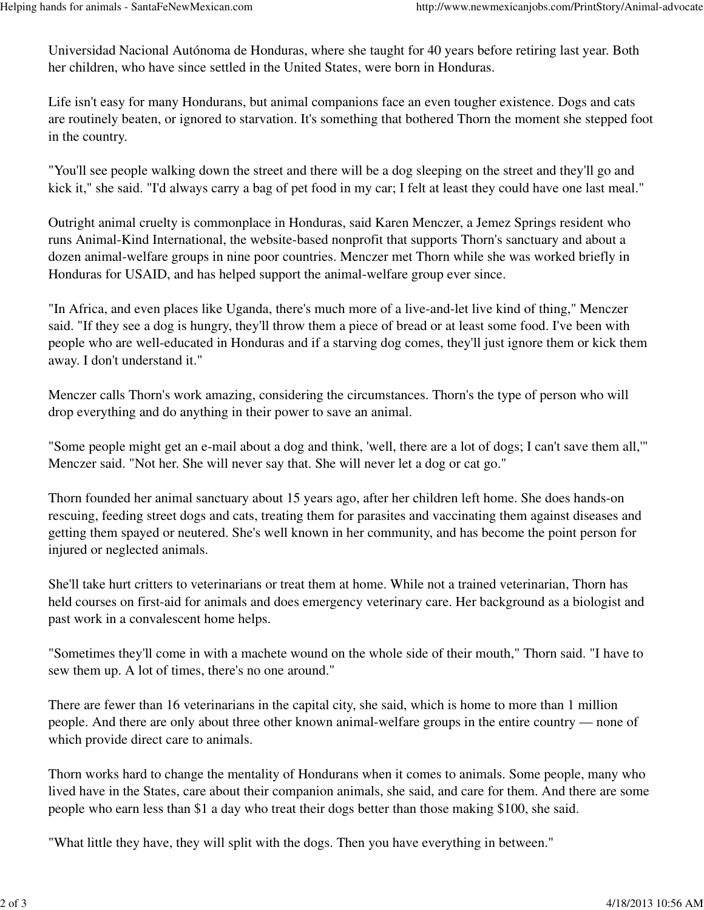Universidad Nacional Autónoma de Honduras, where she taught for 40 years before retiring last year. Both her children, who have since settled in the United States, were born in Honduras.

Life isn't easy for many Hondurans, but animal companions face an even tougher existence. Dogs and cats are routinely beaten, or ignored to starvation. It's something that bothered Thorn the moment she stepped foot in the country.

"You'll see people walking down the street and there will be a dog sleeping on the street and they'll go and kick it," she said. "I'd always carry a bag of pet food in my car; I felt at least they could have one last meal."

Outright animal cruelty is commonplace in Honduras, said Karen Menczer, a Jemez Springs resident who runs Animal-Kind International, the website-based nonprofit that supports Thorn's sanctuary and about a dozen animal-welfare groups in nine poor countries. Menczer met Thorn while she was worked briefly in Honduras for USAID, and has helped support the animal-welfare group ever since.

"In Africa, and even places like Uganda, there's much more of a live-and-let live kind of thing," Menczer said. "If they see a dog is hungry, they'll throw them a piece of bread or at least some food. I've been with people who are well-educated in Honduras and if a starving dog comes, they'll just ignore them or kick them away. I don't understand it."

Menczer calls Thorn's work amazing, considering the circumstances. Thorn's the type of person who will drop everything and do anything in their power to save an animal.

"Some people might get an e-mail about a dog and think, 'well, there are a lot of dogs; I can't save them all,'" Menczer said. "Not her. She will never say that. She will never let a dog or cat go."

Thorn founded her animal sanctuary about 15 years ago, after her children left home. She does hands-on rescuing, feeding street dogs and cats, treating them for parasites and vaccinating them against diseases and getting them spayed or neutered. She's well known in her community, and has become the point person for injured or neglected animals.

She'll take hurt critters to veterinarians or treat them at home. While not a trained veterinarian, Thorn has held courses on first-aid for animals and does emergency veterinary care. Her background as a biologist and past work in a convalescent home helps.

"Sometimes they'll come in with a machete wound on the whole side of their mouth," Thorn said. "I have to sew them up. A lot of times, there's no one around."

There are fewer than 16 veterinarians in the capital city, she said, which is home to more than 1 million people. And there are only about three other known animal-welfare groups in the entire country — none of which provide direct care to animals.

Thorn works hard to change the mentality of Hondurans when it comes to animals. Some people, many who lived have in the States, care about their companion animals, she said, and care for them. And there are some people who earn less than \$1 a day who treat their dogs better than those making \$100, she said.

"What little they have, they will split with the dogs. Then you have everything in between."